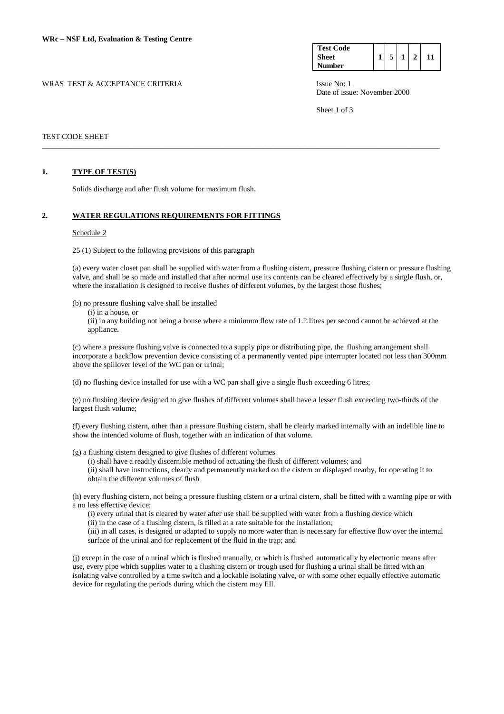WRAS TEST & ACCEPTANCE CRITERIA ISSUE No: 1

| <b>Test Code</b> |  |  |  |
|------------------|--|--|--|
| <b>Sheet</b>     |  |  |  |
| Number           |  |  |  |

Date of issue: November 2000

Sheet 1 of 3

# TEST CODE SHEET

## **1. TYPE OF TEST(S)**

Solids discharge and after flush volume for maximum flush.

### **2. WATER REGULATIONS REQUIREMENTS FOR FITTINGS**

### Schedule 2

25 (1) Subject to the following provisions of this paragraph

(a) every water closet pan shall be supplied with water from a flushing cistern, pressure flushing cistern or pressure flushing valve, and shall be so made and installed that after normal use its contents can be cleared effectively by a single flush, or, where the installation is designed to receive flushes of different volumes, by the largest those flushes;

\_\_\_\_\_\_\_\_\_\_\_\_\_\_\_\_\_\_\_\_\_\_\_\_\_\_\_\_\_\_\_\_\_\_\_\_\_\_\_\_\_\_\_\_\_\_\_\_\_\_\_\_\_\_\_\_\_\_\_\_\_\_\_\_\_\_\_\_\_\_\_\_\_\_\_\_\_\_\_\_\_\_\_\_\_\_\_\_\_\_\_\_\_\_\_\_\_\_\_\_\_\_\_

(b) no pressure flushing valve shall be installed

(i) in a house, or

 (ii) in any building not being a house where a minimum flow rate of 1.2 litres per second cannot be achieved at the appliance.

 (c) where a pressure flushing valve is connected to a supply pipe or distributing pipe, the flushing arrangement shall incorporate a backflow prevention device consisting of a permanently vented pipe interrupter located not less than 300mm above the spillover level of the WC pan or urinal;

(d) no flushing device installed for use with a WC pan shall give a single flush exceeding 6 litres;

(e) no flushing device designed to give flushes of different volumes shall have a lesser flush exceeding two-thirds of the largest flush volume;

(f) every flushing cistern, other than a pressure flushing cistern, shall be clearly marked internally with an indelible line to show the intended volume of flush, together with an indication of that volume.

(g) a flushing cistern designed to give flushes of different volumes

 (i) shall have a readily discernible method of actuating the flush of different volumes; and (ii) shall have instructions, clearly and permanently marked on the cistern or displayed nearby, for operating it to obtain the different volumes of flush

(h) every flushing cistern, not being a pressure flushing cistern or a urinal cistern, shall be fitted with a warning pipe or with a no less effective device;

(i) every urinal that is cleared by water after use shall be supplied with water from a flushing device which

(ii) in the case of a flushing cistern, is filled at a rate suitable for the installation;

(iii) in all cases, is designed or adapted to supply no more water than is necessary for effective flow over the internal surface of the urinal and for replacement of the fluid in the trap; and

(j) except in the case of a urinal which is flushed manually, or which is flushed automatically by electronic means after use, every pipe which supplies water to a flushing cistern or trough used for flushing a urinal shall be fitted with an isolating valve controlled by a time switch and a lockable isolating valve, or with some other equally effective automatic device for regulating the periods during which the cistern may fill.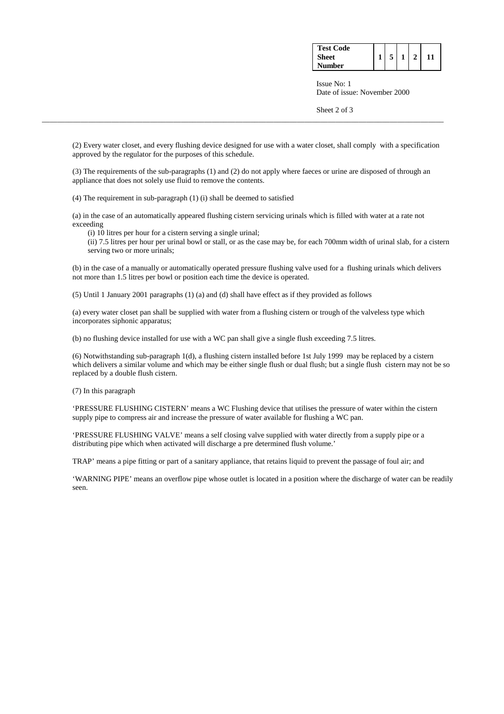| <b>Test Code</b> |  |  |    |
|------------------|--|--|----|
| <b>Sheet</b>     |  |  | 11 |
| Number           |  |  |    |

 Issue No: 1 Date of issue: November 2000

Sheet 2 of 3

(2) Every water closet, and every flushing device designed for use with a water closet, shall comply with a specification approved by the regulator for the purposes of this schedule.

\_\_\_\_\_\_\_\_\_\_\_\_\_\_\_\_\_\_\_\_\_\_\_\_\_\_\_\_\_\_\_\_\_\_\_\_\_\_\_\_\_\_\_\_\_\_\_\_\_\_\_\_\_\_\_\_\_\_\_\_\_\_\_\_\_\_\_\_\_\_\_\_\_\_\_\_\_\_\_\_\_\_\_\_\_\_\_\_\_\_\_\_\_\_\_\_\_\_\_\_\_\_\_\_

(3) The requirements of the sub-paragraphs (1) and (2) do not apply where faeces or urine are disposed of through an appliance that does not solely use fluid to remove the contents.

(4) The requirement in sub-paragraph (1) (i) shall be deemed to satisfied

(a) in the case of an automatically appeared flushing cistern servicing urinals which is filled with water at a rate not exceeding

(i) 10 litres per hour for a cistern serving a single urinal;

 (ii) 7.5 litres per hour per urinal bowl or stall, or as the case may be, for each 700mm width of urinal slab, for a cistern serving two or more urinals;

(b) in the case of a manually or automatically operated pressure flushing valve used for a flushing urinals which delivers not more than 1.5 litres per bowl or position each time the device is operated.

(5) Until 1 January 2001 paragraphs (1) (a) and (d) shall have effect as if they provided as follows

(a) every water closet pan shall be supplied with water from a flushing cistern or trough of the valveless type which incorporates siphonic apparatus;

(b) no flushing device installed for use with a WC pan shall give a single flush exceeding 7.5 litres.

(6) Notwithstanding sub-paragraph 1(d), a flushing cistern installed before 1st July 1999 may be replaced by a cistern which delivers a similar volume and which may be either single flush or dual flush; but a single flush cistern may not be so replaced by a double flush cistern.

(7) In this paragraph

'PRESSURE FLUSHING CISTERN' means a WC Flushing device that utilises the pressure of water within the cistern supply pipe to compress air and increase the pressure of water available for flushing a WC pan.

'PRESSURE FLUSHING VALVE' means a self closing valve supplied with water directly from a supply pipe or a distributing pipe which when activated will discharge a pre determined flush volume.'

TRAP' means a pipe fitting or part of a sanitary appliance, that retains liquid to prevent the passage of foul air; and

'WARNING PIPE' means an overflow pipe whose outlet is located in a position where the discharge of water can be readily seen.